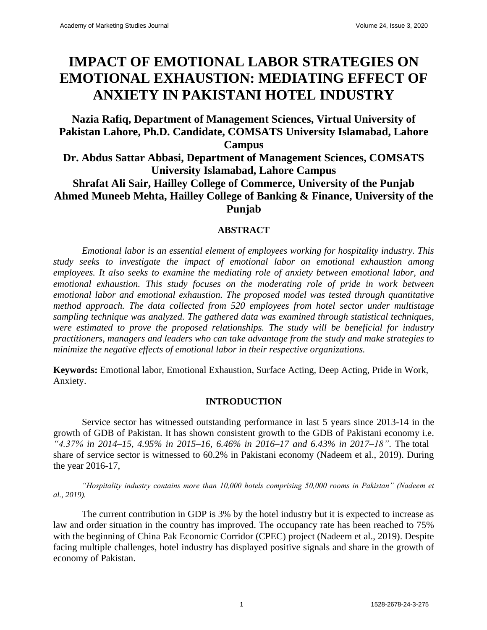# **IMPACT OF EMOTIONAL LABOR STRATEGIES ON EMOTIONAL EXHAUSTION: MEDIATING EFFECT OF ANXIETY IN PAKISTANI HOTEL INDUSTRY**

## **Nazia Rafiq, Department of Management Sciences, Virtual University of Pakistan Lahore, Ph.D. Candidate, COMSATS University Islamabad, Lahore Campus Dr. Abdus Sattar Abbasi, Department of Management Sciences, COMSATS University Islamabad, Lahore Campus Shrafat Ali Sair, Hailley College of Commerce, University of the Punjab Ahmed Muneeb Mehta, Hailley College of Banking & Finance, University of the Punjab**

## **ABSTRACT**

*Emotional labor is an essential element of employees working for hospitality industry. This study seeks to investigate the impact of emotional labor on emotional exhaustion among employees. It also seeks to examine the mediating role of anxiety between emotional labor, and emotional exhaustion. This study focuses on the moderating role of pride in work between emotional labor and emotional exhaustion. The proposed model was tested through quantitative method approach. The data collected from 520 employees from hotel sector under multistage sampling technique was analyzed. The gathered data was examined through statistical techniques, were estimated to prove the proposed relationships. The study will be beneficial for industry practitioners, managers and leaders who can take advantage from the study and make strategies to minimize the negative effects of emotional labor in their respective organizations.*

**Keywords:** Emotional labor, Emotional Exhaustion, Surface Acting, Deep Acting, Pride in Work, Anxiety.

## **INTRODUCTION**

Service sector has witnessed outstanding performance in last 5 years since 2013-14 in the growth of GDB of Pakistan. It has shown consistent growth to the GDB of Pakistani economy i.e. *"4.37% in 2014–15, 4.95% in 2015–16, 6.46% in 2016–17 and 6.43% in 2017–18"*. The total share of service sector is witnessed to 60.2% in Pakistani economy (Nadeem et al., 2019). During the year 2016-17,

*"Hospitality industry contains more than 10,000 hotels comprising 50,000 rooms in Pakistan" (Nadeem et al., 2019).*

The current contribution in GDP is 3% by the hotel industry but it is expected to increase as law and order situation in the country has improved. The occupancy rate has been reached to 75% with the beginning of China Pak Economic Corridor (CPEC) project (Nadeem et al., 2019). Despite facing multiple challenges, hotel industry has displayed positive signals and share in the growth of economy of Pakistan.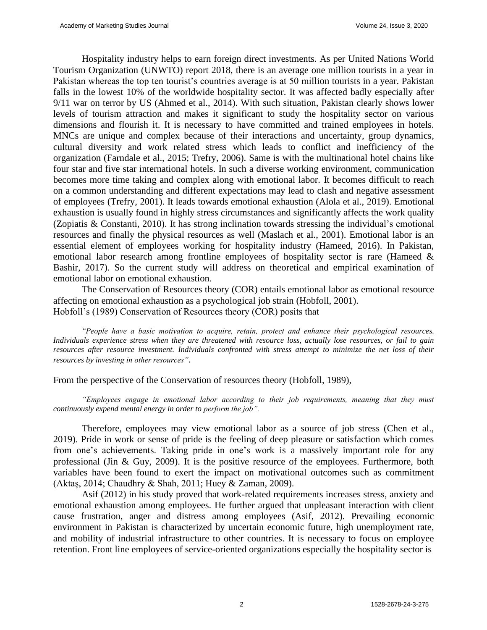Hospitality industry helps to earn foreign direct investments. As per United Nations World Tourism Organization (UNWTO) report 2018, there is an average one million tourists in a year in Pakistan whereas the top ten tourist's countries average is at 50 million tourists in a year. Pakistan falls in the lowest 10% of the worldwide hospitality sector. It was affected badly especially after 9/11 war on terror by US (Ahmed et al., 2014). With such situation, Pakistan clearly shows lower levels of tourism attraction and makes it significant to study the hospitality sector on various dimensions and flourish it. It is necessary to have committed and trained employees in hotels. MNCs are unique and complex because of their interactions and uncertainty, group dynamics, cultural diversity and work related stress which leads to conflict and inefficiency of the organization (Farndale et al., 2015; Trefry, 2006). Same is with the multinational hotel chains like four star and five star international hotels. In such a diverse working environment, communication becomes more time taking and complex along with emotional labor. It becomes difficult to reach on a common understanding and different expectations may lead to clash and negative assessment of employees (Trefry, 2001). It leads towards emotional exhaustion (Alola et al., 2019). Emotional exhaustion is usually found in highly stress circumstances and significantly affects the work quality (Zopiatis & Constanti, 2010). It has strong inclination towards stressing the individual's emotional resources and finally the physical resources as well (Maslach et al., 2001). Emotional labor is an essential element of employees working for hospitality industry (Hameed, 2016). In Pakistan, emotional labor research among frontline employees of hospitality sector is rare (Hameed & Bashir, 2017). So the current study will address on theoretical and empirical examination of emotional labor on emotional exhaustion.

The Conservation of Resources theory (COR) entails emotional labor as emotional resource affecting on emotional exhaustion as a psychological job strain (Hobfoll, 2001). Hobfoll's (1989) Conservation of Resources theory (COR) posits that

*"People have a basic motivation to acquire, retain, protect and enhance their psychological resources. Individuals experience stress when they are threatened with resource loss, actually lose resources, or fail to gain*  resources after resource investment. Individuals confronted with stress attempt to minimize the net loss of their *resources by investing in other resources"*.

From the perspective of the Conservation of resources theory (Hobfoll, 1989),

*"Employees engage in emotional labor according to their job requirements, meaning that they must continuously expend mental energy in order to perform the job".*

Therefore, employees may view emotional labor as a source of job stress (Chen et al., 2019). Pride in work or sense of pride is the feeling of deep pleasure or satisfaction which comes from one's achievements. Taking pride in one's work is a massively important role for any professional (Jin & Guy, 2009). It is the positive resource of the employees. Furthermore, both variables have been found to exert the impact on motivational outcomes such as commitment (Aktaş, 2014; Chaudhry & Shah, 2011; Huey & Zaman, 2009).

Asif (2012) in his study proved that work-related requirements increases stress, anxiety and emotional exhaustion among employees. He further argued that unpleasant interaction with client cause frustration, anger and distress among employees (Asif, 2012). Prevailing economic environment in Pakistan is characterized by uncertain economic future, high unemployment rate, and mobility of industrial infrastructure to other countries. It is necessary to focus on employee retention. Front line employees of service-oriented organizations especially the hospitality sector is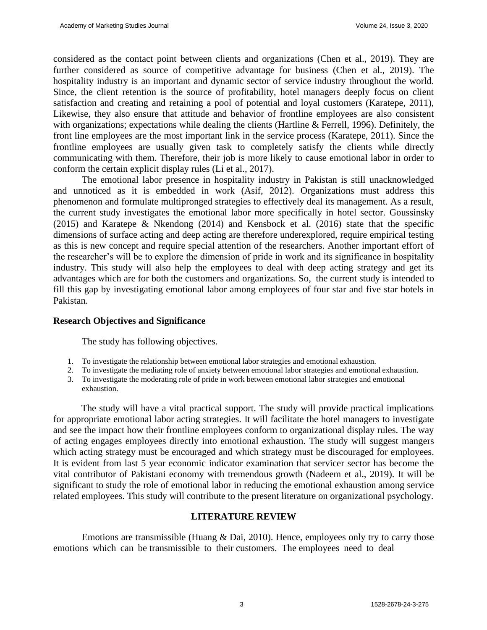considered as the contact point between clients and organizations (Chen et al., 2019). They are further considered as source of competitive advantage for business (Chen et al., 2019). The hospitality industry is an important and dynamic sector of service industry throughout the world. Since, the client retention is the source of profitability, hotel managers deeply focus on client satisfaction and creating and retaining a pool of potential and loyal customers (Karatepe, 2011), Likewise, they also ensure that attitude and behavior of frontline employees are also consistent with organizations; expectations while dealing the clients (Hartline & Ferrell, 1996). Definitely, the front line employees are the most important link in the service process (Karatepe, 2011). Since the frontline employees are usually given task to completely satisfy the clients while directly communicating with them. Therefore, their job is more likely to cause emotional labor in order to conform the certain explicit display rules (Li et al., 2017).

The emotional labor presence in hospitality industry in Pakistan is still unacknowledged and unnoticed as it is embedded in work (Asif, 2012). Organizations must address this phenomenon and formulate multipronged strategies to effectively deal its management. As a result, the current study investigates the emotional labor more specifically in hotel sector. Goussinsky (2015) and Karatepe & Nkendong (2014) and Kensbock et al. (2016) state that the specific dimensions of surface acting and deep acting are therefore underexplored, require empirical testing as this is new concept and require special attention of the researchers. Another important effort of the researcher's will be to explore the dimension of pride in work and its significance in hospitality industry. This study will also help the employees to deal with deep acting strategy and get its advantages which are for both the customers and organizations. So, the current study is intended to fill this gap by investigating emotional labor among employees of four star and five star hotels in Pakistan.

## **Research Objectives and Significance**

The study has following objectives.

- 1. To investigate the relationship between emotional labor strategies and emotional exhaustion.
- 2. To investigate the mediating role of anxiety between emotional labor strategies and emotional exhaustion.
- 3. To investigate the moderating role of pride in work between emotional labor strategies and emotional exhaustion.

The study will have a vital practical support. The study will provide practical implications for appropriate emotional labor acting strategies. It will facilitate the hotel managers to investigate and see the impact how their frontline employees conform to organizational display rules. The way of acting engages employees directly into emotional exhaustion. The study will suggest mangers which acting strategy must be encouraged and which strategy must be discouraged for employees. It is evident from last 5 year economic indicator examination that servicer sector has become the vital contributor of Pakistani economy with tremendous growth (Nadeem et al., 2019). It will be significant to study the role of emotional labor in reducing the emotional exhaustion among service related employees. This study will contribute to the present literature on organizational psychology.

## **LITERATURE REVIEW**

Emotions are transmissible (Huang & Dai, 2010). Hence, employees only try to carry those emotions which can be transmissible to their customers. The employees need to deal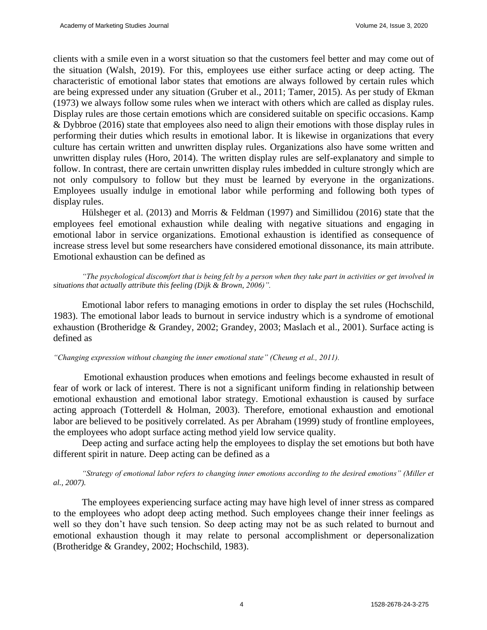clients with a smile even in a worst situation so that the customers feel better and may come out of the situation (Walsh, 2019). For this, employees use either surface acting or deep acting. The characteristic of emotional labor states that emotions are always followed by certain rules which are being expressed under any situation (Gruber et al., 2011; Tamer, 2015). As per study of Ekman (1973) we always follow some rules when we interact with others which are called as display rules. Display rules are those certain emotions which are considered suitable on specific occasions. Kamp & Dybbroe (2016) state that employees also need to align their emotions with those display rules in performing their duties which results in emotional labor. It is likewise in organizations that every culture has certain written and unwritten display rules. Organizations also have some written and unwritten display rules (Horo, 2014). The written display rules are self-explanatory and simple to follow. In contrast, there are certain unwritten display rules imbedded in culture strongly which are not only compulsory to follow but they must be learned by everyone in the organizations. Employees usually indulge in emotional labor while performing and following both types of display rules.

Hülsheger et al. (2013) and Morris & Feldman (1997) and Simillidou (2016) state that the employees feel emotional exhaustion while dealing with negative situations and engaging in emotional labor in service organizations. Emotional exhaustion is identified as consequence of increase stress level but some researchers have considered emotional dissonance, its main attribute. Emotional exhaustion can be defined as

*"The psychological discomfort that is being felt by a person when they take part in activities or get involved in situations that actually attribute this feeling (Dijk & Brown, 2006)".*

Emotional labor refers to managing emotions in order to display the set rules (Hochschild, 1983). The emotional labor leads to burnout in service industry which is a syndrome of emotional exhaustion (Brotheridge & Grandey, 2002; Grandey, 2003; Maslach et al., 2001). Surface acting is defined as

*"Changing expression without changing the inner emotional state" (Cheung et al., 2011).*

Emotional exhaustion produces when emotions and feelings become exhausted in result of fear of work or lack of interest. There is not a significant uniform finding in relationship between emotional exhaustion and emotional labor strategy. Emotional exhaustion is caused by surface acting approach (Totterdell & Holman, 2003). Therefore, emotional exhaustion and emotional labor are believed to be positively correlated. As per Abraham (1999) study of frontline employees, the employees who adopt surface acting method yield low service quality.

Deep acting and surface acting help the employees to display the set emotions but both have different spirit in nature. Deep acting can be defined as a

*"Strategy of emotional labor refers to changing inner emotions according to the desired emotions" (Miller et al., 2007).*

The employees experiencing surface acting may have high level of inner stress as compared to the employees who adopt deep acting method. Such employees change their inner feelings as well so they don't have such tension. So deep acting may not be as such related to burnout and emotional exhaustion though it may relate to personal accomplishment or depersonalization (Brotheridge & Grandey, 2002; Hochschild, 1983).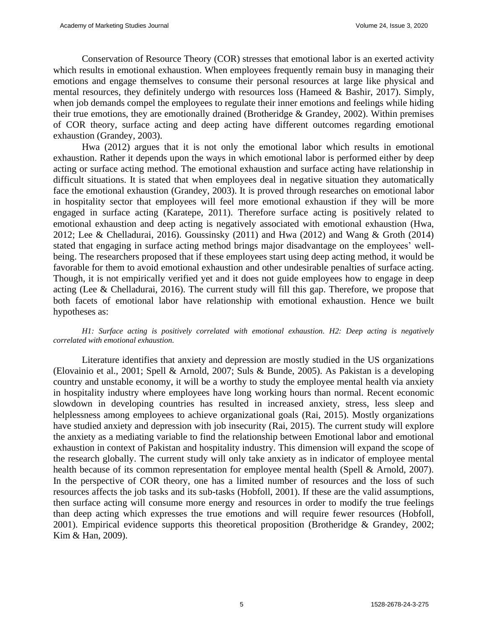Conservation of Resource Theory (COR) stresses that emotional labor is an exerted activity which results in emotional exhaustion. When employees frequently remain busy in managing their emotions and engage themselves to consume their personal resources at large like physical and mental resources, they definitely undergo with resources loss (Hameed & Bashir, 2017). Simply, when job demands compel the employees to regulate their inner emotions and feelings while hiding their true emotions, they are emotionally drained (Brotheridge & Grandey, 2002). Within premises of COR theory, surface acting and deep acting have different outcomes regarding emotional exhaustion (Grandey, 2003).

Hwa (2012) argues that it is not only the emotional labor which results in emotional exhaustion. Rather it depends upon the ways in which emotional labor is performed either by deep acting or surface acting method. The emotional exhaustion and surface acting have relationship in difficult situations. It is stated that when employees deal in negative situation they automatically face the emotional exhaustion (Grandey, 2003). It is proved through researches on emotional labor in hospitality sector that employees will feel more emotional exhaustion if they will be more engaged in surface acting (Karatepe, 2011). Therefore surface acting is positively related to emotional exhaustion and deep acting is negatively associated with emotional exhaustion (Hwa, 2012; Lee & Chelladurai, 2016). Goussinsky (2011) and Hwa (2012) and Wang & Groth (2014) stated that engaging in surface acting method brings major disadvantage on the employees' wellbeing. The researchers proposed that if these employees start using deep acting method, it would be favorable for them to avoid emotional exhaustion and other undesirable penalties of surface acting. Though, it is not empirically verified yet and it does not guide employees how to engage in deep acting (Lee & Chelladurai, 2016). The current study will fill this gap. Therefore, we propose that both facets of emotional labor have relationship with emotional exhaustion. Hence we built hypotheses as:

*H1: Surface acting is positively correlated with emotional exhaustion. H2: Deep acting is negatively correlated with emotional exhaustion.*

Literature identifies that anxiety and depression are mostly studied in the US organizations (Elovainio et al., 2001; Spell & Arnold, 2007; Suls & Bunde, 2005). As Pakistan is a developing country and unstable economy, it will be a worthy to study the employee mental health via anxiety in hospitality industry where employees have long working hours than normal. Recent economic slowdown in developing countries has resulted in increased anxiety, stress, less sleep and helplessness among employees to achieve organizational goals (Rai, 2015). Mostly organizations have studied anxiety and depression with job insecurity (Rai, 2015). The current study will explore the anxiety as a mediating variable to find the relationship between Emotional labor and emotional exhaustion in context of Pakistan and hospitality industry. This dimension will expand the scope of the research globally. The current study will only take anxiety as in indicator of employee mental health because of its common representation for employee mental health (Spell & Arnold, 2007). In the perspective of COR theory, one has a limited number of resources and the loss of such resources affects the job tasks and its sub-tasks (Hobfoll, 2001). If these are the valid assumptions, then surface acting will consume more energy and resources in order to modify the true feelings than deep acting which expresses the true emotions and will require fewer resources (Hobfoll, 2001). Empirical evidence supports this theoretical proposition (Brotheridge & Grandey, 2002; Kim & Han, 2009).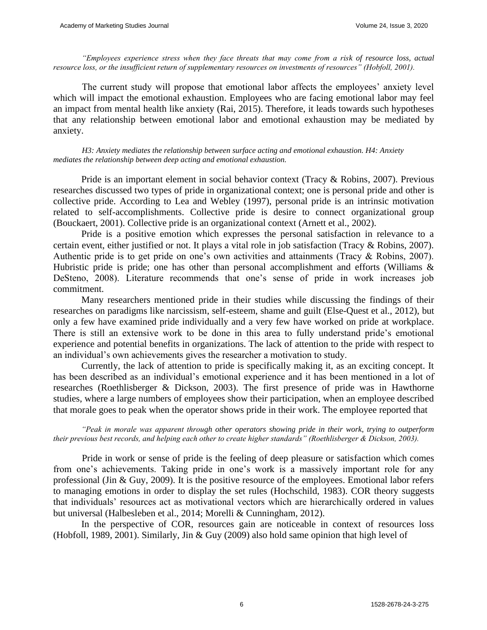*"Employees experience stress when they face threats that may come from a risk of resource loss, actual resource loss, or the insufficient return of supplementary resources on investments of resources" (Hobfoll, 2001).*

The current study will propose that emotional labor affects the employees' anxiety level which will impact the emotional exhaustion. Employees who are facing emotional labor may feel an impact from mental health like anxiety (Rai, 2015). Therefore, it leads towards such hypotheses that any relationship between emotional labor and emotional exhaustion may be mediated by anxiety.

*H3: Anxiety mediates the relationship between surface acting and emotional exhaustion. H4: Anxiety mediates the relationship between deep acting and emotional exhaustion.*

Pride is an important element in social behavior context (Tracy & Robins, 2007). Previous researches discussed two types of pride in organizational context; one is personal pride and other is collective pride. According to Lea and Webley (1997), personal pride is an intrinsic motivation related to self-accomplishments. Collective pride is desire to connect organizational group (Bouckaert, 2001). Collective pride is an organizational context (Arnett et al., 2002).

Pride is a positive emotion which expresses the personal satisfaction in relevance to a certain event, either justified or not. It plays a vital role in job satisfaction (Tracy & Robins, 2007). Authentic pride is to get pride on one's own activities and attainments (Tracy & Robins, 2007). Hubristic pride is pride; one has other than personal accomplishment and efforts (Williams & DeSteno, 2008). Literature recommends that one's sense of pride in work increases job commitment.

Many researchers mentioned pride in their studies while discussing the findings of their researches on paradigms like narcissism, self-esteem, shame and guilt (Else-Quest et al., 2012), but only a few have examined pride individually and a very few have worked on pride at workplace. There is still an extensive work to be done in this area to fully understand pride's emotional experience and potential benefits in organizations. The lack of attention to the pride with respect to an individual's own achievements gives the researcher a motivation to study.

Currently, the lack of attention to pride is specifically making it, as an exciting concept. It has been described as an individual's emotional experience and it has been mentioned in a lot of researches (Roethlisberger & Dickson, 2003). The first presence of pride was in Hawthorne studies, where a large numbers of employees show their participation, when an employee described that morale goes to peak when the operator shows pride in their work. The employee reported that

*"Peak in morale was apparent through other operators showing pride in their work, trying to outperform their previous best records, and helping each other to create higher standards" (Roethlisberger & Dickson, 2003).*

Pride in work or sense of pride is the feeling of deep pleasure or satisfaction which comes from one's achievements. Taking pride in one's work is a massively important role for any professional (Jin & Guy, 2009). It is the positive resource of the employees. Emotional labor refers to managing emotions in order to display the set rules (Hochschild, 1983). COR theory suggests that individuals' resources act as motivational vectors which are hierarchically ordered in values but universal (Halbesleben et al., 2014; Morelli & Cunningham, 2012).

In the perspective of COR, resources gain are noticeable in context of resources loss (Hobfoll, 1989, 2001). Similarly, Jin & Guy (2009) also hold same opinion that high level of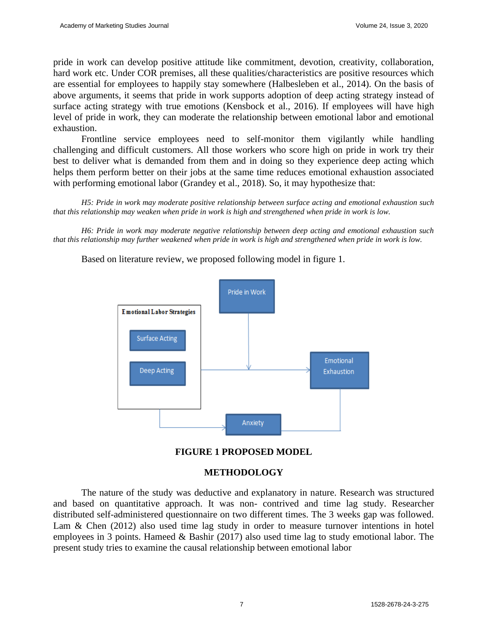pride in work can develop positive attitude like commitment, devotion, creativity, collaboration, hard work etc. Under COR premises, all these qualities/characteristics are positive resources which are essential for employees to happily stay somewhere (Halbesleben et al., 2014). On the basis of above arguments, it seems that pride in work supports adoption of deep acting strategy instead of surface acting strategy with true emotions (Kensbock et al., 2016). If employees will have high level of pride in work, they can moderate the relationship between emotional labor and emotional exhaustion.

Frontline service employees need to self-monitor them vigilantly while handling challenging and difficult customers. All those workers who score high on pride in work try their best to deliver what is demanded from them and in doing so they experience deep acting which helps them perform better on their jobs at the same time reduces emotional exhaustion associated with performing emotional labor (Grandey et al., 2018). So, it may hypothesize that:

*H5: Pride in work may moderate positive relationship between surface acting and emotional exhaustion such that this relationship may weaken when pride in work is high and strengthened when pride in work is low.*

*H6: Pride in work may moderate negative relationship between deep acting and emotional exhaustion such that this relationship may further weakened when pride in work is high and strengthened when pride in work is low.*

Based on literature review, we proposed following model in figure 1.





## **METHODOLOGY**

The nature of the study was deductive and explanatory in nature. Research was structured and based on quantitative approach. It was non- contrived and time lag study. Researcher distributed self-administered questionnaire on two different times. The 3 weeks gap was followed. Lam & Chen (2012) also used time lag study in order to measure turnover intentions in hotel employees in 3 points. Hameed  $\&$  Bashir (2017) also used time lag to study emotional labor. The present study tries to examine the causal relationship between emotional labor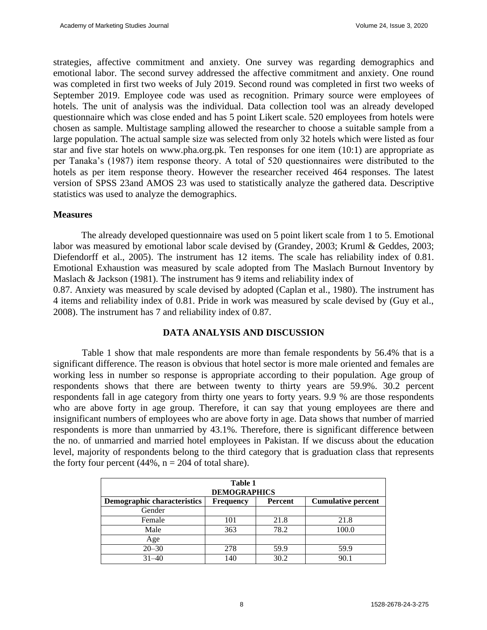strategies, affective commitment and anxiety. One survey was regarding demographics and emotional labor. The second survey addressed the affective commitment and anxiety. One round was completed in first two weeks of July 2019. Second round was completed in first two weeks of September 2019. Employee code was used as recognition. Primary source were employees of hotels. The unit of analysis was the individual. Data collection tool was an already developed questionnaire which was close ended and has 5 point Likert scale. 520 employees from hotels were chosen as sample. Multistage sampling allowed the researcher to choose a suitable sample from a large population. The actual sample size was selected from only 32 hotels which were listed as four star and five star hotels on [www.pha.org.pk. T](http://www.pha.org.pk/)en responses for one item (10:1) are appropriate as per Tanaka's (1987) item response theory. A total of 520 questionnaires were distributed to the hotels as per item response theory. However the researcher received 464 responses. The latest version of SPSS 23and AMOS 23 was used to statistically analyze the gathered data. Descriptive statistics was used to analyze the demographics.

## **Measures**

The already developed questionnaire was used on 5 point likert scale from 1 to 5. Emotional labor was measured by emotional labor scale devised by (Grandey, 2003; Kruml & Geddes, 2003; Diefendorff et al., 2005). The instrument has 12 items. The scale has reliability index of 0.81. Emotional Exhaustion was measured by scale adopted from The Maslach Burnout Inventory by Maslach & Jackson (1981). The instrument has 9 items and reliability index of

0.87. Anxiety was measured by scale devised by adopted (Caplan et al., 1980). The instrument has 4 items and reliability index of 0.81. Pride in work was measured by scale devised by (Guy et al., 2008). The instrument has 7 and reliability index of 0.87.

## **DATA ANALYSIS AND DISCUSSION**

Table 1 show that male respondents are more than female respondents by 56.4% that is a significant difference. The reason is obvious that hotel sector is more male oriented and females are working less in number so response is appropriate according to their population. Age group of respondents shows that there are between twenty to thirty years are 59.9%. 30.2 percent respondents fall in age category from thirty one years to forty years. 9.9 % are those respondents who are above forty in age group. Therefore, it can say that young employees are there and insignificant numbers of employees who are above forty in age. Data shows that number of married respondents is more than unmarried by 43.1%. Therefore, there is significant difference between the no. of unmarried and married hotel employees in Pakistan. If we discuss about the education level, majority of respondents belong to the third category that is graduation class that represents the forty four percent  $(44\%, n = 204$  of total share).

| Table 1<br><b>DEMOGRAPHICS</b>     |                  |         |                           |  |  |
|------------------------------------|------------------|---------|---------------------------|--|--|
| <b>Demographic characteristics</b> | <b>Frequency</b> | Percent | <b>Cumulative percent</b> |  |  |
| Gender                             |                  |         |                           |  |  |
| Female                             | 101              | 21.8    | 21.8                      |  |  |
| Male                               | 363              | 78.2    | 100.0                     |  |  |
| Age                                |                  |         |                           |  |  |
| $20 - 30$                          | 278              | 59.9    | 59.9                      |  |  |
| $31 - 40$                          | 140              | 30.2    | 90.1                      |  |  |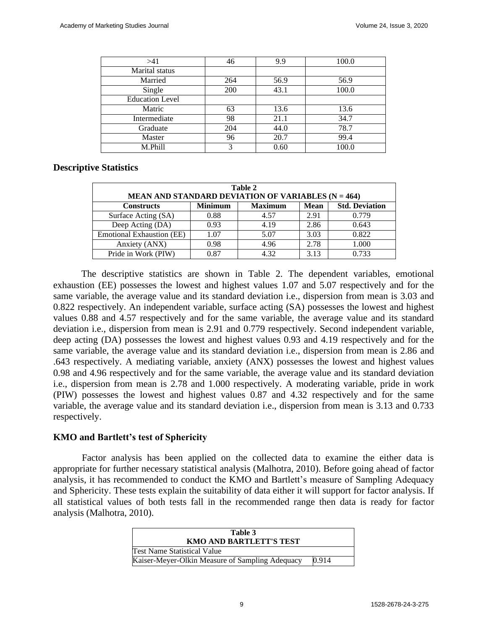| >41                    | 46  | 9.9  | 100.0 |
|------------------------|-----|------|-------|
| Marital status         |     |      |       |
| Married                | 264 | 56.9 | 56.9  |
| Single                 | 200 | 43.1 | 100.0 |
| <b>Education Level</b> |     |      |       |
| Matric                 | 63  | 13.6 | 13.6  |
| Intermediate           | 98  | 21.1 | 34.7  |
| Graduate               | 204 | 44.0 | 78.7  |
| Master                 | 96  | 20.7 | 99.4  |
| M.Phill                | 3   | 0.60 | 100.0 |

#### **Descriptive Statistics**

| Table 2<br>MEAN AND STANDARD DEVIATION OF VARIABLES $(N = 464)$                               |      |      |      |       |  |  |  |
|-----------------------------------------------------------------------------------------------|------|------|------|-------|--|--|--|
| <b>Minimum</b><br><b>Maximum</b><br><b>Std. Deviation</b><br><b>Mean</b><br><b>Constructs</b> |      |      |      |       |  |  |  |
| Surface Acting (SA)                                                                           | 0.88 | 4.57 | 2.91 | 0.779 |  |  |  |
| Deep Acting (DA)                                                                              | 0.93 | 4.19 | 2.86 | 0.643 |  |  |  |
| <b>Emotional Exhaustion (EE)</b>                                                              | 1.07 | 5.07 | 3.03 | 0.822 |  |  |  |
| Anxiety (ANX)                                                                                 | 0.98 | 4.96 | 2.78 | 1.000 |  |  |  |
| Pride in Work (PIW)                                                                           | 0.87 | 4.32 | 3.13 | 0.733 |  |  |  |

The descriptive statistics are shown in Table 2. The dependent variables, emotional exhaustion (EE) possesses the lowest and highest values 1.07 and 5.07 respectively and for the same variable, the average value and its standard deviation i.e., dispersion from mean is 3.03 and 0.822 respectively. An independent variable, surface acting (SA) possesses the lowest and highest values 0.88 and 4.57 respectively and for the same variable, the average value and its standard deviation i.e., dispersion from mean is 2.91 and 0.779 respectively. Second independent variable, deep acting (DA) possesses the lowest and highest values 0.93 and 4.19 respectively and for the same variable, the average value and its standard deviation i.e., dispersion from mean is 2.86 and .643 respectively. A mediating variable, anxiety (ANX) possesses the lowest and highest values 0.98 and 4.96 respectively and for the same variable, the average value and its standard deviation i.e., dispersion from mean is 2.78 and 1.000 respectively. A moderating variable, pride in work (PIW) possesses the lowest and highest values 0.87 and 4.32 respectively and for the same variable, the average value and its standard deviation i.e., dispersion from mean is 3.13 and 0.733 respectively.

#### **KMO and Bartlett's test of Sphericity**

Factor analysis has been applied on the collected data to examine the either data is appropriate for further necessary statistical analysis (Malhotra, 2010). Before going ahead of factor analysis, it has recommended to conduct the KMO and Bartlett's measure of Sampling Adequacy and Sphericity. These tests explain the suitability of data either it will support for factor analysis. If all statistical values of both tests fall in the recommended range then data is ready for factor analysis (Malhotra, 2010).

| Table 3<br><b>KMO AND BARTLETT'S TEST</b>       |       |
|-------------------------------------------------|-------|
| <b>Test Name Statistical Value</b>              |       |
| Kaiser-Meyer-Olkin Measure of Sampling Adequacy | 0.914 |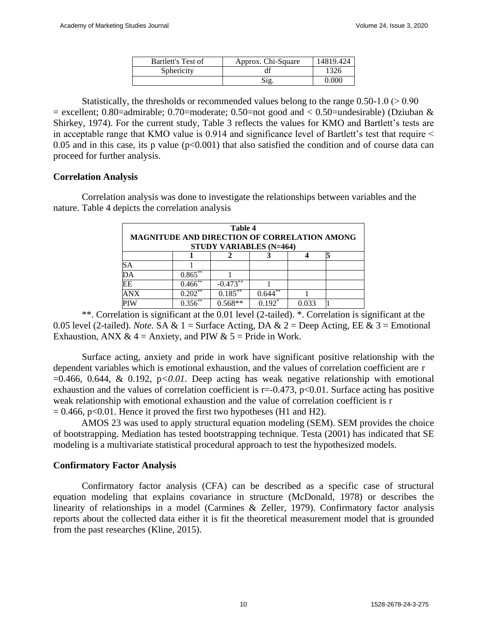| Bartlett's Test of | Approx. Chi-Square | 14819.424 |
|--------------------|--------------------|-----------|
| Sphericity         |                    | 1326      |
|                    | Sig.               | 0.000     |

Statistically, the thresholds or recommended values belong to the range  $0.50-1.0$  ( $> 0.90$ ) = excellent; 0.80=admirable; 0.70=moderate; 0.50=not good and  $< 0.50$ =undesirable) (Dziuban & Shirkey, 1974). For the current study, Table 3 reflects the values for KMO and Bartlett's tests are in acceptable range that KMO value is 0.914 and significance level of Bartlett's test that require < 0.05 and in this case, its p value  $(p<0.001)$  that also satisfied the condition and of course data can proceed for further analysis.

## **Correlation Analysis**

Correlation analysis was done to investigate the relationships between variables and the nature. Table 4 depicts the correlation analysis

| Table 4<br>MAGNITUDE AND DIRECTION OF CORRELATION AMONG<br><b>STUDY VARIABLES (N=464)</b> |              |            |                       |       |  |  |
|-------------------------------------------------------------------------------------------|--------------|------------|-----------------------|-------|--|--|
|                                                                                           |              |            |                       |       |  |  |
| SА                                                                                        |              |            |                       |       |  |  |
| DA                                                                                        | $0.865**$    |            |                       |       |  |  |
| EE                                                                                        | $0.466$ **   | $-0.473**$ |                       |       |  |  |
| <b>ANX</b>                                                                                | $0.202^{**}$ | $0.185***$ | $0.644$ <sup>**</sup> |       |  |  |
|                                                                                           | $0.356^{**}$ | $0.568**$  | $0.192*$              | 0.033 |  |  |

\*\*. Correlation is significant at the 0.01 level (2-tailed). \*. Correlation is significant at the 0.05 level (2-tailed). *Note.* SA & 1 = Surface Acting, DA & 2 = Deep Acting, EE & 3 = Emotional Exhaustion, ANX  $& 4 =$  Anxiety, and PIW  $& 5 =$  Pride in Work.

Surface acting, anxiety and pride in work have significant positive relationship with the dependent variables which is emotional exhaustion, and the values of correlation coefficient are r =0.466, 0.644, & 0.192, p*<0.01.* Deep acting has weak negative relationship with emotional exhaustion and the values of correlation coefficient is  $r=0.473$ ,  $p<0.01$ . Surface acting has positive weak relationship with emotional exhaustion and the value of correlation coefficient is r  $= 0.466$ , p<0.01. Hence it proved the first two hypotheses (H1 and H2).

AMOS 23 was used to apply structural equation modeling (SEM). SEM provides the choice of bootstrapping. Mediation has tested bootstrapping technique. Testa (2001) has indicated that SE modeling is a multivariate statistical procedural approach to test the hypothesized models.

## **Confirmatory Factor Analysis**

Confirmatory factor analysis (CFA) can be described as a specific case of structural equation modeling that explains covariance in structure (McDonald, 1978) or describes the linearity of relationships in a model (Carmines & Zeller, 1979). Confirmatory factor analysis reports about the collected data either it is fit the theoretical measurement model that is grounded from the past researches (Kline, 2015).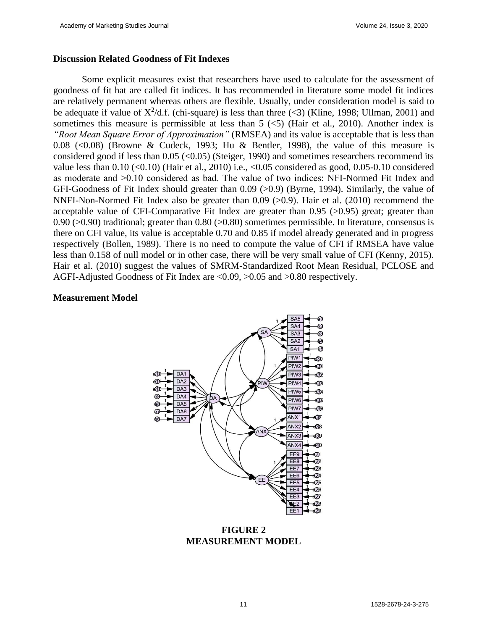#### **Discussion Related Goodness of Fit Indexes**

Some explicit measures exist that researchers have used to calculate for the assessment of goodness of fit hat are called fit indices. It has recommended in literature some model fit indices are relatively permanent whereas others are flexible. Usually, under consideration model is said to be adequate if value of  $X^2/d$ .f. (chi-square) is less than three (<3) (Kline, 1998; Ullman, 2001) and sometimes this measure is permissible at less than  $5 \leq 5$  (Hair et al., 2010). Another index is *"Root Mean Square Error of Approximation"* (RMSEA) and its value is acceptable that is less than 0.08  $(< 0.08)$  (Browne & Cudeck, 1993; Hu & Bentler, 1998), the value of this measure is considered good if less than  $0.05$  (< $0.05$ ) (Steiger, 1990) and sometimes researchers recommend its value less than  $0.10$  ( $\leq 0.10$ ) (Hair et al., 2010) i.e.,  $\leq 0.05$  considered as good, 0.05-0.10 considered as moderate and ˃0.10 considered as bad. The value of two indices: NFI-Normed Fit Index and GFI-Goodness of Fit Index should greater than 0.09 (>0.9) (Byrne, 1994). Similarly, the value of NNFI-Non-Normed Fit Index also be greater than 0.09 (>0.9). Hair et al. (2010) recommend the acceptable value of CFI-Comparative Fit Index are greater than  $0.95$  ( $>0.95$ ) great; greater than 0.90 ( $>0.90$ ) traditional; greater than 0.80 ( $>0.80$ ) sometimes permissible. In literature, consensus is there on CFI value, its value is acceptable 0.70 and 0.85 if model already generated and in progress respectively (Bollen, 1989). There is no need to compute the value of CFI if RMSEA have value less than 0.158 of null model or in other case, there will be very small value of CFI (Kenny, 2015). Hair et al. (2010) suggest the values of SMRM-Standardized Root Mean Residual, PCLOSE and AGFI-Adjusted Goodness of Fit Index are <0.09, >0.05 and >0.80 respectively.

#### **Measurement Model**



**FIGURE 2 MEASUREMENT MODEL**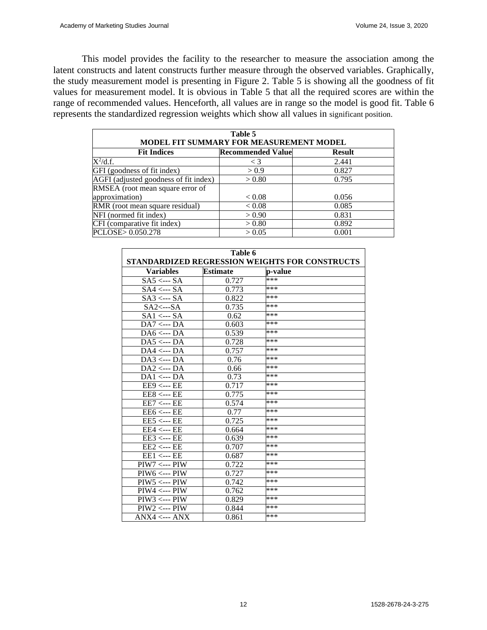This model provides the facility to the researcher to measure the association among the latent constructs and latent constructs further measure through the observed variables. Graphically, the study measurement model is presenting in Figure 2. Table 5 is showing all the goodness of fit values for measurement model. It is obvious in Table 5 that all the required scores are within the range of recommended values. Henceforth, all values are in range so the model is good fit. Table 6 represents the standardized regression weights which show all values in significant position.

| Table 5<br>MODEL FIT SUMMARY FOR MEASUREMENT MODEL |                          |               |  |  |  |
|----------------------------------------------------|--------------------------|---------------|--|--|--|
| <b>Fit Indices</b>                                 | <b>Recommended Value</b> | <b>Result</b> |  |  |  |
| $X^2/d.f.$                                         | $\leq 3$                 | 2.441         |  |  |  |
| GFI (goodness of fit index)                        | > 0.9                    | 0.827         |  |  |  |
| AGFI (adjusted goodness of fit index)              | > 0.80                   | 0.795         |  |  |  |
| RMSEA (root mean square error of                   |                          |               |  |  |  |
| approximation)                                     | < 0.08                   | 0.056         |  |  |  |
| RMR (root mean square residual)                    | < 0.08                   | 0.085         |  |  |  |
| NFI (normed fit index)                             | > 0.90                   | 0.831         |  |  |  |
| CFI (comparative fit index)                        | > 0.80                   | 0.892         |  |  |  |
| PCLOSE> 0.050.278                                  | > 0.05                   | 0.001         |  |  |  |
|                                                    |                          |               |  |  |  |

| Table 6<br>STANDARDIZED REGRESSION WEIGHTS FOR CONSTRUCTS |                 |         |  |  |
|-----------------------------------------------------------|-----------------|---------|--|--|
| <b>Variables</b>                                          | <b>Estimate</b> | p-value |  |  |
| $SAS \leftarrow SAS$                                      | 0.727           | ***     |  |  |
| $SAA \leftarrow SAA$                                      | 0.773           | ***     |  |  |
| $SAS \leftarrow SAS$                                      | 0.822           | ***     |  |  |
| $S_{A2} \leftarrow S_A$                                   | 0.735           | ***     |  |  |
| $SA1 \leftarrow$ --- $SA$                                 | 0.62            | ***     |  |  |
| $DA7 \leftarrow$ --- $DA$                                 | 0.603           | ***     |  |  |
| $DA6 \leftarrow DA$                                       | 0.539           | ***     |  |  |
| $DA5 \leftarrow DA$                                       | 0.728           | ***     |  |  |
| $DA4 \leftarrow$ --- $DA$                                 | 0.757           | ***     |  |  |
| $DA3 \leftarrow$ --- $DA$                                 | 0.76            | ***     |  |  |
| $DA2 \leftarrow$ --- $DA$                                 | 0.66            | ***     |  |  |
| $DA1 \leftarrow$ --- $DA$                                 | 0.73            | ***     |  |  |
| $EE9 \leftarrow EE$                                       | 0.717           | ***     |  |  |
| $EE8 \leftarrow EE$                                       | 0.775           | ***     |  |  |
| $EE7 \leftarrow EE$                                       | 0.574           | ***     |  |  |
| $EE6 \leftarrow EE$                                       | 0.77            | ***     |  |  |
| $EE5 \leftarrow EE$                                       | 0.725           | ***     |  |  |
| $EE4 \leftarrow EE$                                       | 0.664           | ***     |  |  |
| $EE3 \leftarrow EE$                                       | 0.639           | ***     |  |  |
| $EE2 \leftarrow EE$                                       | 0.707           | ***     |  |  |
| $EE1 \leftarrow EE$                                       | 0.687           | ***     |  |  |
| $PIW7 \leftarrow$ --- $PIW$                               | 0.722           | ***     |  |  |
| $PIW6 \leftarrow$ --- $PIW$                               | 0.727           | ***     |  |  |
| $PIW5 \leftarrow$ --- $PIW$                               | 0.742           | ***     |  |  |
| $PIW4 \leftarrow -PIW$                                    | 0.762           | ***     |  |  |
| $PIW3 \leftarrow$ --- $PIW$                               | 0.829           | ***     |  |  |
| $PIW2 \leftarrow PIW$                                     | 0.844           | ***     |  |  |
| $\mathrm{ANX4} \leq -\mathrm{ANX}$                        | 0.861           | ***     |  |  |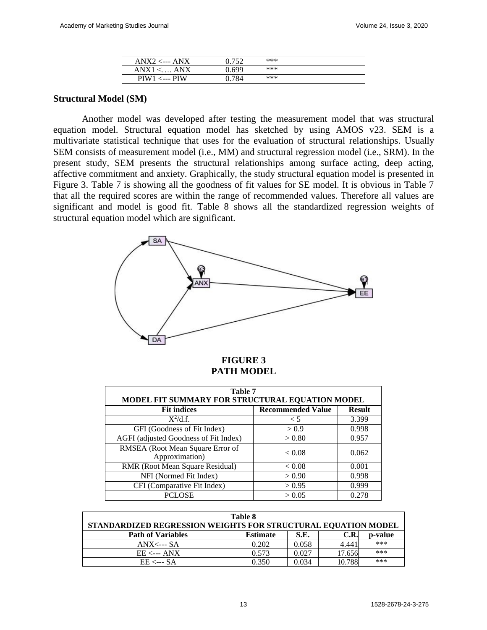| $ANX2 \leftarrow ANX$ | በ 752 | *** |
|-----------------------|-------|-----|
| $ANX1 \leq  ANX$      | ).699 | *** |
| $PIW1 \le -PIW$       | 0.784 | *** |

#### **Structural Model (SM)**

Another model was developed after testing the measurement model that was structural equation model. Structural equation model has sketched by using AMOS v23. SEM is a multivariate statistical technique that uses for the evaluation of structural relationships. Usually SEM consists of measurement model (i.e., MM) and structural regression model (i.e., SRM). In the present study, SEM presents the structural relationships among surface acting, deep acting, affective commitment and anxiety. Graphically, the study structural equation model is presented in Figure 3. Table 7 is showing all the goodness of fit values for SE model. It is obvious in Table 7 that all the required scores are within the range of recommended values. Therefore all values are significant and model is good fit. Table 8 shows all the standardized regression weights of structural equation model which are significant.



#### **FIGURE 3 PATH MODEL**

| Table 7<br>MODEL FIT SUMMARY FOR STRUCTURAL EQUATION MODEL |                          |               |  |  |
|------------------------------------------------------------|--------------------------|---------------|--|--|
| <b>Fit indices</b>                                         | <b>Recommended Value</b> | <b>Result</b> |  |  |
| $\overline{X}^2/d.f.$                                      | $\leq 5$                 | 3.399         |  |  |
| GFI (Goodness of Fit Index)                                | > 0.9                    | 0.998         |  |  |
| AGFI (adjusted Goodness of Fit Index)                      | > 0.80                   | 0.957         |  |  |
| RMSEA (Root Mean Square Error of<br>Approximation)         | < 0.08                   | 0.062         |  |  |
| RMR (Root Mean Square Residual)                            | < 0.08                   | 0.001         |  |  |
| NFI (Normed Fit Index)                                     | > 0.90                   | 0.998         |  |  |
| CFI (Comparative Fit Index)                                | > 0.95                   | 0.999         |  |  |
| <b>PCLOSE</b>                                              | > 0.05                   | 0.278         |  |  |

| Table 8                                                       |                 |       |        |         |  |
|---------------------------------------------------------------|-----------------|-------|--------|---------|--|
| STANDARDIZED REGRESSION WEIGHTS FOR STRUCTURAL EQUATION MODEL |                 |       |        |         |  |
| <b>Path of Variables</b>                                      | <b>Estimate</b> | S.E.  | C.R.   | p-value |  |
| $ANX \leftarrow S$                                            | 0.202           | 0.058 | 4.441  | ***     |  |
| $EE \leftarrow \text{ANX}$                                    | 0.573           | 0.027 | 17.656 | ***     |  |
| $EE \leftarrow$ --- SA                                        | 0.350           | 0.034 | 10.788 | ***     |  |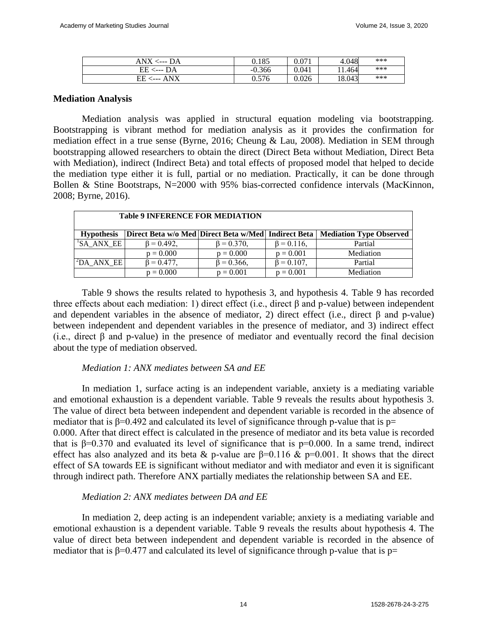| ANX<br>$\leftarrow$ --- DA | 0.185    | 0.071 | 4.048  | *** |
|----------------------------|----------|-------|--------|-----|
| $EE \leftarrow$ --- $DA$   | $-0.366$ | 0.041 | .1.464 | *** |
| ANX<br>EЕ                  | 0.576    | 0.026 | 18.043 | *** |

#### **Mediation Analysis**

Mediation analysis was applied in structural equation modeling via bootstrapping. Bootstrapping is vibrant method for mediation analysis as it provides the confirmation for mediation effect in a true sense (Byrne, 2016; Cheung & Lau, 2008). Mediation in SEM through bootstrapping allowed researchers to obtain the direct (Direct Beta without Mediation, Direct Beta with Mediation), indirect (Indirect Beta) and total effects of proposed model that helped to decide the mediation type either it is full, partial or no mediation. Practically, it can be done through Bollen & Stine Bootstraps, N=2000 with 95% bias-corrected confidence intervals (MacKinnon, 2008; Byrne, 2016).

| <b>Table 9 INFERENCE FOR MEDIATION</b> |                   |                   |                   |                                                                                 |
|----------------------------------------|-------------------|-------------------|-------------------|---------------------------------------------------------------------------------|
| <b>Hypothesis</b>                      |                   |                   |                   | Direct Beta w/o Med Direct Beta w/Med   Indirect Beta   Mediation Type Observed |
| 'SA ANX EE                             | $\beta = 0.492$ , | $\beta = 0.370$ , | $\beta = 0.116$ , | Partial                                                                         |
|                                        | $p = 0.000$       | $p = 0.000$       | $p = 0.001$       | Mediation                                                                       |
| $\Delta$ DA ANX EE                     | $\beta = 0.477$ , | $\beta = 0.366$ , | $\beta = 0.107$ , | Partial                                                                         |
|                                        | $p = 0.000$       | $p = 0.001$       | $p = 0.001$       | Mediation                                                                       |

Table 9 shows the results related to hypothesis 3, and hypothesis 4. Table 9 has recorded three effects about each mediation: 1) direct effect (i.e., direct β and p-value) between independent and dependent variables in the absence of mediator, 2) direct effect (i.e., direct  $\beta$  and p-value) between independent and dependent variables in the presence of mediator, and 3) indirect effect (i.e., direct  $\beta$  and p-value) in the presence of mediator and eventually record the final decision about the type of mediation observed.

## *Mediation 1: ANX mediates between SA and EE*

In mediation 1, surface acting is an independent variable, anxiety is a mediating variable and emotional exhaustion is a dependent variable. Table 9 reveals the results about hypothesis 3. The value of direct beta between independent and dependent variable is recorded in the absence of mediator that is  $\beta$ =0.492 and calculated its level of significance through p-value that is p= 0.000. After that direct effect is calculated in the presence of mediator and its beta value is recorded that is  $β=0.370$  and evaluated its level of significance that is  $p=0.000$ . In a same trend, indirect effect has also analyzed and its beta & p-value are  $\beta$ =0.116 & p=0.001. It shows that the direct effect of SA towards EE is significant without mediator and with mediator and even it is significant through indirect path. Therefore ANX partially mediates the relationship between SA and EE.

## *Mediation 2: ANX mediates between DA and EE*

In mediation 2, deep acting is an independent variable; anxiety is a mediating variable and emotional exhaustion is a dependent variable. Table 9 reveals the results about hypothesis 4. The value of direct beta between independent and dependent variable is recorded in the absence of mediator that is  $\beta$ =0.477 and calculated its level of significance through p-value that is p=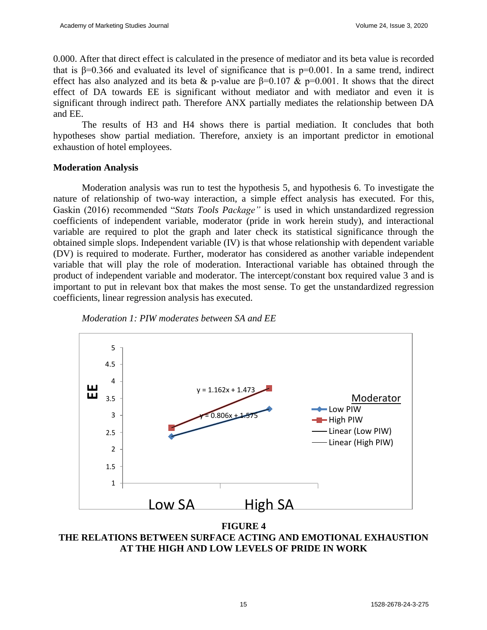0.000. After that direct effect is calculated in the presence of mediator and its beta value is recorded that is  $β=0.366$  and evaluated its level of significance that is  $p=0.001$ . In a same trend, indirect effect has also analyzed and its beta & p-value are  $\beta$ =0.107 & p=0.001. It shows that the direct effect of DA towards EE is significant without mediator and with mediator and even it is significant through indirect path. Therefore ANX partially mediates the relationship between DA and EE.

The results of H3 and H4 shows there is partial mediation. It concludes that both hypotheses show partial mediation. Therefore, anxiety is an important predictor in emotional exhaustion of hotel employees.

## **Moderation Analysis**

Moderation analysis was run to test the hypothesis 5, and hypothesis 6. To investigate the nature of relationship of two-way interaction, a simple effect analysis has executed. For this, Gaskin (2016) recommended "*Stats Tools Package"* is used in which unstandardized regression coefficients of independent variable, moderator (pride in work herein study), and interactional variable are required to plot the graph and later check its statistical significance through the obtained simple slops. Independent variable (IV) is that whose relationship with dependent variable (DV) is required to moderate. Further, moderator has considered as another variable independent variable that will play the role of moderation. Interactional variable has obtained through the product of independent variable and moderator. The intercept/constant box required value 3 and is important to put in relevant box that makes the most sense. To get the unstandardized regression coefficients, linear regression analysis has executed.





**FIGURE 4 THE RELATIONS BETWEEN SURFACE ACTING AND EMOTIONAL EXHAUSTION AT THE HIGH AND LOW LEVELS OF PRIDE IN WORK**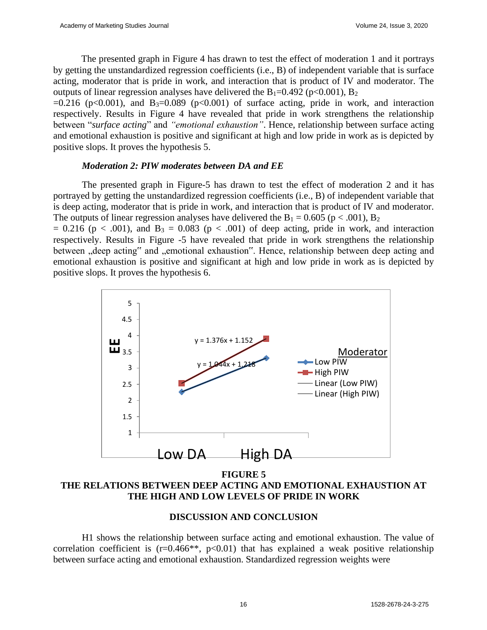The presented graph in Figure 4 has drawn to test the effect of moderation 1 and it portrays by getting the unstandardized regression coefficients (i.e., B) of independent variable that is surface acting, moderator that is pride in work, and interaction that is product of IV and moderator. The outputs of linear regression analyses have delivered the  $B_1=0.492$  (p<0.001),  $B_2$ 

 $=0.216$  (p<0.001), and B<sub>3</sub> $=0.089$  (p<0.001) of surface acting, pride in work, and interaction respectively. Results in Figure 4 have revealed that pride in work strengthens the relationship between "*surface acting*" and *"emotional exhaustion"*. Hence, relationship between surface acting and emotional exhaustion is positive and significant at high and low pride in work as is depicted by positive slops. It proves the hypothesis 5.

#### *Moderation 2: PIW moderates between DA and EE*

The presented graph in Figure-5 has drawn to test the effect of moderation 2 and it has portrayed by getting the unstandardized regression coefficients (i.e., B) of independent variable that is deep acting, moderator that is pride in work, and interaction that is product of IV and moderator. The outputs of linear regression analyses have delivered the  $B_1 = 0.605$  (p < .001),  $B_2$ 

 $= 0.216$  (p < .001), and B<sub>3</sub> = 0.083 (p < .001) of deep acting, pride in work, and interaction respectively. Results in Figure -5 have revealed that pride in work strengthens the relationship between "deep acting" and "emotional exhaustion". Hence, relationship between deep acting and emotional exhaustion is positive and significant at high and low pride in work as is depicted by positive slops. It proves the hypothesis 6.



**FIGURE 5 THE RELATIONS BETWEEN DEEP ACTING AND EMOTIONAL EXHAUSTION AT THE HIGH AND LOW LEVELS OF PRIDE IN WORK**

## **DISCUSSION AND CONCLUSION**

H1 shows the relationship between surface acting and emotional exhaustion. The value of correlation coefficient is  $(r=0.466**, p<0.01)$  that has explained a weak positive relationship between surface acting and emotional exhaustion. Standardized regression weights were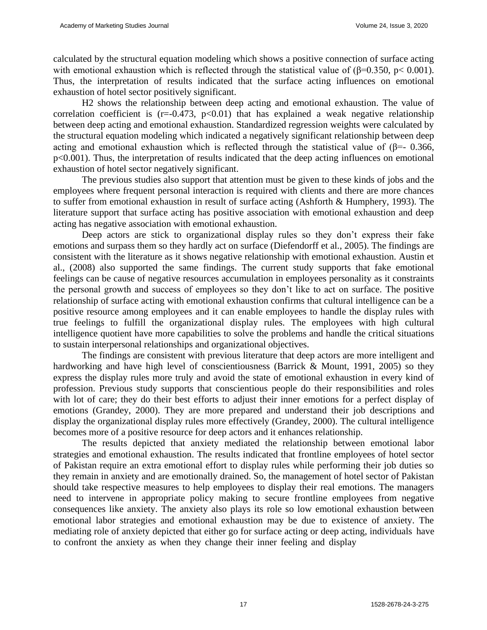calculated by the structural equation modeling which shows a positive connection of surface acting with emotional exhaustion which is reflected through the statistical value of ( $\beta$ =0.350, p< 0.001). Thus, the interpretation of results indicated that the surface acting influences on emotional exhaustion of hotel sector positively significant.

H2 shows the relationship between deep acting and emotional exhaustion. The value of correlation coefficient is  $(r=-0.473, p<0.01)$  that has explained a weak negative relationship between deep acting and emotional exhaustion. Standardized regression weights were calculated by the structural equation modeling which indicated a negatively significant relationship between deep acting and emotional exhaustion which is reflected through the statistical value of ( $\beta$ =- 0.366, p<0.001). Thus, the interpretation of results indicated that the deep acting influences on emotional exhaustion of hotel sector negatively significant.

The previous studies also support that attention must be given to these kinds of jobs and the employees where frequent personal interaction is required with clients and there are more chances to suffer from emotional exhaustion in result of surface acting (Ashforth & Humphery, 1993). The literature support that surface acting has positive association with emotional exhaustion and deep acting has negative association with emotional exhaustion.

Deep actors are stick to organizational display rules so they don't express their fake emotions and surpass them so they hardly act on surface (Diefendorff et al., 2005). The findings are consistent with the literature as it shows negative relationship with emotional exhaustion. Austin et al., (2008) also supported the same findings. The current study supports that fake emotional feelings can be cause of negative resources accumulation in employees personality as it constraints the personal growth and success of employees so they don't like to act on surface. The positive relationship of surface acting with emotional exhaustion confirms that cultural intelligence can be a positive resource among employees and it can enable employees to handle the display rules with true feelings to fulfill the organizational display rules. The employees with high cultural intelligence quotient have more capabilities to solve the problems and handle the critical situations to sustain interpersonal relationships and organizational objectives.

The findings are consistent with previous literature that deep actors are more intelligent and hardworking and have high level of conscientiousness (Barrick & Mount, 1991, 2005) so they express the display rules more truly and avoid the state of emotional exhaustion in every kind of profession. Previous study supports that conscientious people do their responsibilities and roles with lot of care; they do their best efforts to adjust their inner emotions for a perfect display of emotions (Grandey, 2000). They are more prepared and understand their job descriptions and display the organizational display rules more effectively (Grandey, 2000). The cultural intelligence becomes more of a positive resource for deep actors and it enhances relationship.

The results depicted that anxiety mediated the relationship between emotional labor strategies and emotional exhaustion. The results indicated that frontline employees of hotel sector of Pakistan require an extra emotional effort to display rules while performing their job duties so they remain in anxiety and are emotionally drained. So, the management of hotel sector of Pakistan should take respective measures to help employees to display their real emotions. The managers need to intervene in appropriate policy making to secure frontline employees from negative consequences like anxiety. The anxiety also plays its role so low emotional exhaustion between emotional labor strategies and emotional exhaustion may be due to existence of anxiety. The mediating role of anxiety depicted that either go for surface acting or deep acting, individuals have to confront the anxiety as when they change their inner feeling and display

17 1528-2678-24-3-275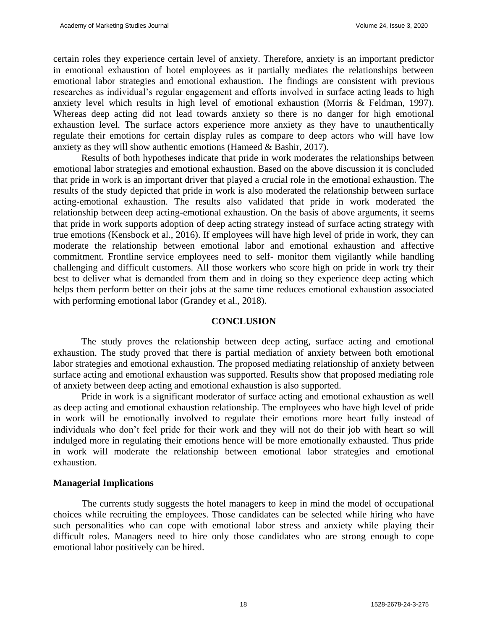certain roles they experience certain level of anxiety. Therefore, anxiety is an important predictor in emotional exhaustion of hotel employees as it partially mediates the relationships between emotional labor strategies and emotional exhaustion. The findings are consistent with previous researches as individual's regular engagement and efforts involved in surface acting leads to high anxiety level which results in high level of emotional exhaustion (Morris & Feldman, 1997). Whereas deep acting did not lead towards anxiety so there is no danger for high emotional exhaustion level. The surface actors experience more anxiety as they have to unauthentically regulate their emotions for certain display rules as compare to deep actors who will have low anxiety as they will show authentic emotions (Hameed & Bashir, 2017).

Results of both hypotheses indicate that pride in work moderates the relationships between emotional labor strategies and emotional exhaustion. Based on the above discussion it is concluded that pride in work is an important driver that played a crucial role in the emotional exhaustion. The results of the study depicted that pride in work is also moderated the relationship between surface acting-emotional exhaustion. The results also validated that pride in work moderated the relationship between deep acting-emotional exhaustion. On the basis of above arguments, it seems that pride in work supports adoption of deep acting strategy instead of surface acting strategy with true emotions (Kensbock et al., 2016). If employees will have high level of pride in work, they can moderate the relationship between emotional labor and emotional exhaustion and affective commitment. Frontline service employees need to self- monitor them vigilantly while handling challenging and difficult customers. All those workers who score high on pride in work try their best to deliver what is demanded from them and in doing so they experience deep acting which helps them perform better on their jobs at the same time reduces emotional exhaustion associated with performing emotional labor (Grandey et al., 2018).

#### **CONCLUSION**

The study proves the relationship between deep acting, surface acting and emotional exhaustion. The study proved that there is partial mediation of anxiety between both emotional labor strategies and emotional exhaustion. The proposed mediating relationship of anxiety between surface acting and emotional exhaustion was supported. Results show that proposed mediating role of anxiety between deep acting and emotional exhaustion is also supported.

Pride in work is a significant moderator of surface acting and emotional exhaustion as well as deep acting and emotional exhaustion relationship. The employees who have high level of pride in work will be emotionally involved to regulate their emotions more heart fully instead of individuals who don't feel pride for their work and they will not do their job with heart so will indulged more in regulating their emotions hence will be more emotionally exhausted. Thus pride in work will moderate the relationship between emotional labor strategies and emotional exhaustion.

#### **Managerial Implications**

The currents study suggests the hotel managers to keep in mind the model of occupational choices while recruiting the employees. Those candidates can be selected while hiring who have such personalities who can cope with emotional labor stress and anxiety while playing their difficult roles. Managers need to hire only those candidates who are strong enough to cope emotional labor positively can be hired.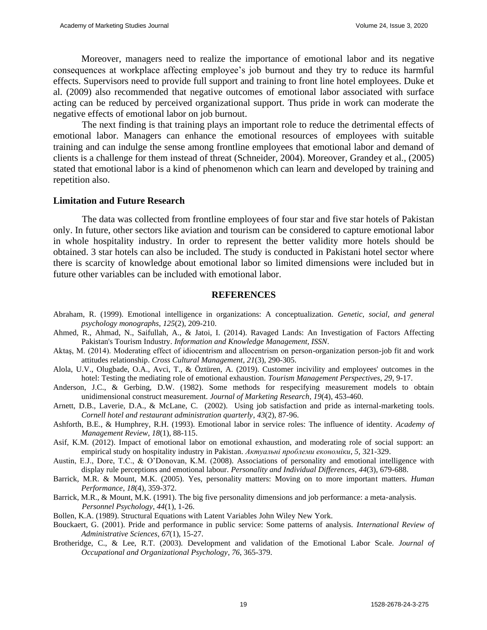Moreover, managers need to realize the importance of emotional labor and its negative consequences at workplace affecting employee's job burnout and they try to reduce its harmful effects. Supervisors need to provide full support and training to front line hotel employees. Duke et al. (2009) also recommended that negative outcomes of emotional labor associated with surface acting can be reduced by perceived organizational support. Thus pride in work can moderate the negative effects of emotional labor on job burnout.

The next finding is that training plays an important role to reduce the detrimental effects of emotional labor. Managers can enhance the emotional resources of employees with suitable training and can indulge the sense among frontline employees that emotional labor and demand of clients is a challenge for them instead of threat (Schneider, 2004). Moreover, Grandey et al., (2005) stated that emotional labor is a kind of phenomenon which can learn and developed by training and repetition also.

#### **Limitation and Future Research**

The data was collected from frontline employees of four star and five star hotels of Pakistan only. In future, other sectors like aviation and tourism can be considered to capture emotional labor in whole hospitality industry. In order to represent the better validity more hotels should be obtained. 3 star hotels can also be included. The study is conducted in Pakistani hotel sector where there is scarcity of knowledge about emotional labor so limited dimensions were included but in future other variables can be included with emotional labor.

#### **REFERENCES**

- Abraham, R. (1999). Emotional intelligence in organizations: A conceptualization. *Genetic, social, and general psychology monographs*, *125*(2), 209-210.
- Ahmed, R., Ahmad, N., Saifullah, A., & Jatoi, I. (2014). Ravaged Lands: An Investigation of Factors Affecting Pakistan's Tourism Industry. *Information and Knowledge Management, ISSN*.
- Aktaş, M. (2014). Moderating effect of idiocentrism and allocentrism on person-organization person-job fit and work attitudes relationship. *Cross Cultural Management*, *21*(3), 290-305.
- Alola, U.V., Olugbade, O.A., Avci, T., & Öztüren, A. (2019). Customer incivility and employees' outcomes in the hotel: Testing the mediating role of emotional exhaustion. *Tourism Management Perspectives*, *29*, 9-17.
- Anderson, J.C., & Gerbing, D.W. (1982). Some methods for respecifying measurement models to obtain unidimensional construct measurement. *Journal of Marketing Research*, *19*(4), 453-460.
- Arnett, D.B., Laverie, D.A., & McLane, C. (2002). Using job satisfaction and pride as internal-marketing tools. *Cornell hotel and restaurant administration quarterly*, *43*(2), 87-96.
- Ashforth, B.E., & Humphrey, R.H. (1993). Emotional labor in service roles: The influence of identity. *Academy of Management Review*, *18*(1), 88-115.
- Asif, K.M. (2012). Impact of emotional labor on emotional exhaustion, and moderating role of social support: an empirical study on hospitality industry in Pakistan. *Актуальні проблеми економіки*, *5,* 321-329.
- Austin, E.J., Dore, T.C., & O'Donovan, K.M. (2008). Associations of personality and emotional intelligence with display rule perceptions and emotional labour. *Personality and Individual Differences*, *44*(3), 679-688.
- Barrick, M.R. & Mount, M.K. (2005). Yes, personality matters: Moving on to more important matters. *Human Performance*, *18*(4), 359-372.
- Barrick, M.R., & Mount, M.K. (1991). The big five personality dimensions and job performance: a meta-analysis. *Personnel Psychology*, *44*(1), 1-26.
- Bollen, K.A. (1989). Structural Equations with Latent Variables John Wiley New York.
- Bouckaert, G. (2001). Pride and performance in public service: Some patterns of analysis. *International Review of Administrative Sciences*, *67*(1), 15-27.
- Brotheridge, C., & Lee, R.T. (2003). Development and validation of the Emotional Labor Scale. *Journal of Occupational and Organizational Psychology*, *76*, 365-379.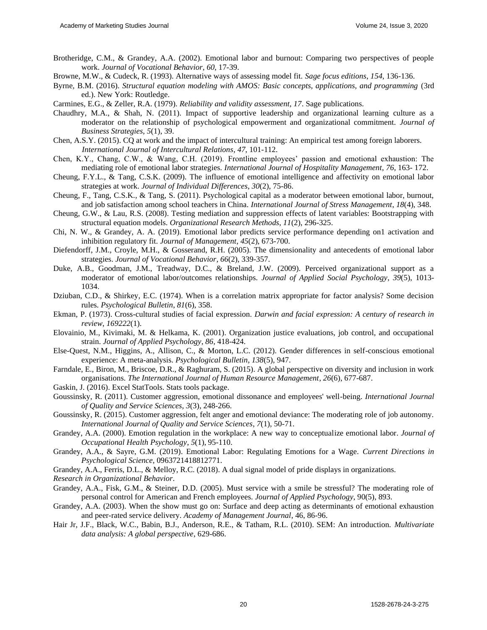- Brotheridge, C.M., & Grandey, A.A. (2002). Emotional labor and burnout: Comparing two perspectives of people work. *Journal of Vocational Behavior*, *60*, 17-39.
- Browne, M.W., & Cudeck, R. (1993). Alternative ways of assessing model fit. *Sage focus editions*, *154*, 136-136.
- Byrne, B.M. (2016). *Structural equation modeling with AMOS: Basic concepts, applications, and programming* (3rd ed.). New York: Routledge.

Carmines, E.G., & Zeller, R.A. (1979). *Reliability and validity assessment, 17*. Sage publications.

- Chaudhry, M.A., & Shah, N. (2011). Impact of supportive leadership and organizational learning culture as a moderator on the relationship of psychological empowerment and organizational commitment. *Journal of Business Strategies*, *5*(1), 39.
- Chen, A.S.Y. (2015). CQ at work and the impact of intercultural training: An empirical test among foreign laborers. *International Journal of Intercultural Relations*, *47*, 101-112.
- Chen, K.Y., Chang, C.W., & Wang, C.H. (2019). Frontline employees' passion and emotional exhaustion: The mediating role of emotional labor strategies. *International Journal of Hospitality Management*, *76*, 163- 172.
- Cheung, F.Y.L., & Tang, C.S.K. (2009). The influence of emotional intelligence and affectivity on emotional labor strategies at work. *Journal of Individual Differences*, *30*(2), 75-86.
- Cheung, F., Tang, C.S.K., & Tang, S. (2011). Psychological capital as a moderator between emotional labor, burnout, and job satisfaction among school teachers in China. *International Journal of Stress Management*, *18*(4), 348.
- Cheung, G.W., & Lau, R.S. (2008). Testing mediation and suppression effects of latent variables: Bootstrapping with structural equation models. *Organizational Research Methods*, *11*(2), 296-325.
- Chi, N. W., & Grandey, A. A. (2019). Emotional labor predicts service performance depending on1 activation and inhibition regulatory fit. *Journal of Management*, *45*(2), 673-700.
- Diefendorff, J.M., Croyle, M.H., & Gosserand, R.H. (2005). The dimensionality and antecedents of emotional labor strategies. *Journal of Vocational Behavior*, *66*(2), 339-357.
- Duke, A.B., Goodman, J.M., Treadway, D.C., & Breland, J.W. (2009). Perceived organizational support as a moderator of emotional labor/outcomes relationships. *Journal of Applied Social Psychology*, *39*(5), 1013- 1034.
- Dziuban, C.D., & Shirkey, E.C. (1974). When is a correlation matrix appropriate for factor analysis? Some decision rules. *Psychological Bulletin*, *81*(6), 358.
- Ekman, P. (1973). Cross-cultural studies of facial expression. *Darwin and facial expression: A century of research in review*, *169222*(1).
- Elovainio, M., Kivimaki, M. & Helkama, K. (2001). Organization justice evaluations, job control, and occupational strain. *Journal of Applied Psychology*, *86*, 418-424.
- Else-Quest, N.M., Higgins, A., Allison, C., & Morton, L.C. (2012). Gender differences in self-conscious emotional experience: A meta-analysis. *Psychological Bulletin*, *138*(5), 947.
- Farndale, E., Biron, M., Briscoe, D.R., & Raghuram, S. (2015). A global perspective on diversity and inclusion in work organisations. *The International Journal of Human Resource Management*, *26*(6), 677-687.
- Gaskin, J. (2016). Excel StatTools. Stats tools package.
- Goussinsky, R. (2011). Customer aggression, emotional dissonance and employees' well-being. *International Journal of Quality and Service Sciences*, *3*(3), 248-266.
- Goussinsky, R. (2015). Customer aggression, felt anger and emotional deviance: The moderating role of job autonomy. *International Journal of Quality and Service Sciences*, *7*(1), 50-71.
- Grandey, A.A. (2000). Emotion regulation in the workplace: A new way to conceptualize emotional labor. *Journal of Occupational Health Psychology*, *5*(1), 95-110.
- Grandey, A.A., & Sayre, G.M. (2019). Emotional Labor: Regulating Emotions for a Wage. *Current Directions in Psychological Science*, 0963721418812771.
- Grandey, A.A., Ferris, D.L., & Melloy, R.C. (2018). A dual signal model of pride displays in organizations.

*Research in Organizational Behavior*.

- Grandey, A.A., Fisk, G.M., & Steiner, D.D. (2005). Must service with a smile be stressful? The moderating role of personal control for American and French employees. *Journal of Applied Psychology*, 90(5), 893.
- Grandey, A.A. (2003). When the show must go on: Surface and deep acting as determinants of emotional exhaustion and peer-rated service delivery. *Academy of Management Journal*, 46, 86-96.
- Hair Jr, J.F., Black, W.C., Babin, B.J., Anderson, R.E., & Tatham, R.L. (2010). SEM: An introduction. *Multivariate data analysis: A global perspective*, 629-686.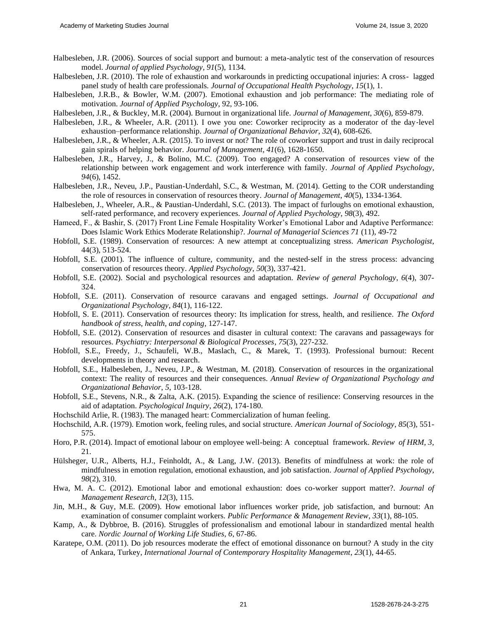- Halbesleben, J.R. (2006). Sources of social support and burnout: a meta-analytic test of the conservation of resources model. *Journal of applied Psychology*, *91*(5), 1134.
- Halbesleben, J.R. (2010). The role of exhaustion and workarounds in predicting occupational injuries: A cross- lagged panel study of health care professionals. *Journal of Occupational Health Psychology*, *15*(1), 1.
- Halbesleben, J.R.B., & Bowler, W.M. (2007). Emotional exhaustion and job performance: The mediating role of motivation. *Journal of Applied Psychology*, 92, 93-106.
- Halbesleben, J.R., & Buckley, M.R. (2004). Burnout in organizational life. *Journal of Management*, *30*(6), 859-879.
- Halbesleben, J.R., & Wheeler, A.R. (2011). I owe you one: Coworker reciprocity as a moderator of the day-level exhaustion–performance relationship. *Journal of Organizational Behavior*, *32*(4), 608-626.
- Halbesleben, J.R., & Wheeler, A.R. (2015). To invest or not? The role of coworker support and trust in daily reciprocal gain spirals of helping behavior. *Journal of Management*, *41*(6), 1628-1650.
- Halbesleben, J.R., Harvey, J., & Bolino, M.C. (2009). Too engaged? A conservation of resources view of the relationship between work engagement and work interference with family. *Journal of Applied Psychology*, *94*(6), 1452.
- Halbesleben, J.R., Neveu, J.P., Paustian-Underdahl, S.C., & Westman, M. (2014). Getting to the COR understanding the role of resources in conservation of resources theory. *Journal of Management*, *40*(5), 1334-1364.
- Halbesleben, J., Wheeler, A.R., & Paustian-Underdahl, S.C. (2013). The impact of furloughs on emotional exhaustion, self-rated performance, and recovery experiences. *Journal of Applied Psychology*, *98*(3), 492.
- Hameed, F., & Bashir, S. (2017) Front Line Female Hospitality Worker's Emotional Labor and Adaptive Performance: Does Islamic Work Ethics Moderate Relationship?. *Journal of Managerial Sciences 71* (11), 49-72
- Hobfoll, S.E. (1989). Conservation of resources: A new attempt at conceptualizing stress. *American Psychologist*, 44(3), 513-524.
- Hobfoll, S.E. (2001). The influence of culture, community, and the nested-self in the stress process: advancing conservation of resources theory. *Applied Psychology*, *50*(3), 337-421.
- Hobfoll, S.E. (2002). Social and psychological resources and adaptation. *Review of general Psychology*, *6*(4), 307- 324.
- Hobfoll, S.E. (2011). Conservation of resource caravans and engaged settings. *Journal of Occupational and Organizational Psychology*, *84*(1), 116-122.
- Hobfoll, S. E. (2011). Conservation of resources theory: Its implication for stress, health, and resilience. *The Oxford handbook of stress, health, and coping*, 127-147.
- Hobfoll, S.E. (2012). Conservation of resources and disaster in cultural context: The caravans and passageways for resources. *Psychiatry: Interpersonal & Biological Processes*, *75*(3), 227-232.
- Hobfoll, S.E., Freedy, J., Schaufeli, W.B., Maslach, C., & Marek, T. (1993). Professional burnout: Recent developments in theory and research.
- Hobfoll, S.E., Halbesleben, J., Neveu, J.P., & Westman, M. (2018). Conservation of resources in the organizational context: The reality of resources and their consequences. *Annual Review of Organizational Psychology and Organizational Behavior*, *5*, 103-128.
- Hobfoll, S.E., Stevens, N.R., & Zalta, A.K. (2015). Expanding the science of resilience: Conserving resources in the aid of adaptation. *Psychological Inquiry*, *26*(2), 174-180.
- Hochschild Arlie, R. (1983). The managed heart: Commercialization of human feeling.
- Hochschild, A.R. (1979). Emotion work, feeling rules, and social structure. *American Journal of Sociology*, *85*(3), 551- 575.
- Horo, P.R. (2014). Impact of emotional labour on employee well-being: A conceptual framework. *Review of HRM*, *3*, 21.
- Hülsheger, U.R., Alberts, H.J., Feinholdt, A., & Lang, J.W. (2013). Benefits of mindfulness at work: the role of mindfulness in emotion regulation, emotional exhaustion, and job satisfaction. *Journal of Applied Psychology*, *98*(2), 310.
- Hwa, M. A. C. (2012). Emotional labor and emotional exhaustion: does co-worker support matter?. *Journal of Management Research*, *12*(3), 115.
- Jin, M.H., & Guy, M.E. (2009). How emotional labor influences worker pride, job satisfaction, and burnout: An examination of consumer complaint workers. *Public Performance & Management Review*, *33*(1), 88-105.
- Kamp, A., & Dybbroe, B. (2016). Struggles of professionalism and emotional labour in standardized mental health care. *Nordic Journal of Working Life Studies*, *6*, 67-86.
- Karatepe, O.M. (2011). Do job resources moderate the effect of emotional dissonance on burnout? A study in the city of Ankara, Turkey, *International Journal of Contemporary Hospitality Management*, *23*(1), 44-65.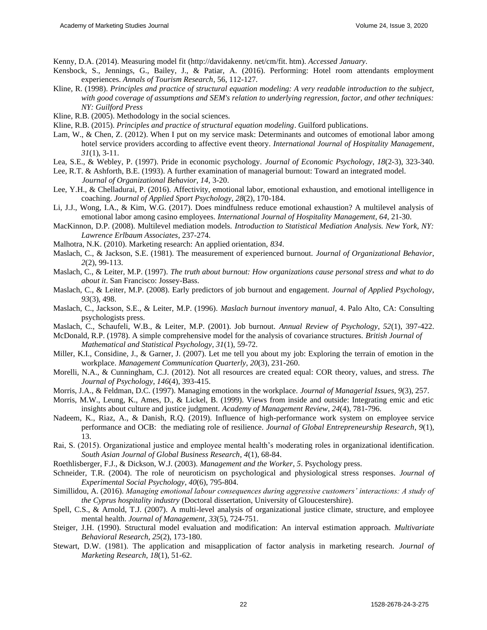Kenny, D.A. (2014). Measuring model fit [\(http://davidakenny. n](http://davidakenny/)et/cm/fit. htm). *Accessed January*.

- Kensbock, S., Jennings, G., Bailey, J., & Patiar, A. (2016). Performing: Hotel room attendants employment experiences. *Annals of Tourism Research*, 56, 112-127.
- Kline, R. (1998). *Principles and practice of structural equation modeling: A very readable introduction to the subject, with good coverage of assumptions and SEM's relation to underlying regression, factor, and other techniques: NY: Guilford Press*
- Kline, R.B. (2005). Methodology in the social sciences.
- Kline, R.B. (2015). *Principles and practice of structural equation modeling*. Guilford publications.
- Lam, W., & Chen, Z. (2012). When I put on my service mask: Determinants and outcomes of emotional labor among hotel service providers according to affective event theory. *International Journal of Hospitality Management*, *31*(1), 3-11.
- Lea, S.E., & Webley, P. (1997). Pride in economic psychology. *Journal of Economic Psychology*, *18*(2-3), 323-340.

Lee, R.T. & Ashforth, B.E. (1993). A further examination of managerial burnout: Toward an integrated model. *Journal of Organizational Behavior, 14,* 3-20.

- Lee, Y.H., & Chelladurai, P. (2016). Affectivity, emotional labor, emotional exhaustion, and emotional intelligence in coaching. *Journal of Applied Sport Psychology*, *28*(2), 170-184.
- Li, J.J., Wong, I.A., & Kim, W.G. (2017). Does mindfulness reduce emotional exhaustion? A multilevel analysis of emotional labor among casino employees. *International Journal of Hospitality Management*, *64*, 21-30.

MacKinnon, D.P. (2008). Multilevel mediation models. *Introduction to Statistical Mediation Analysis. New York, NY: Lawrence Erlbaum Associates*, 237-274.

- Malhotra, N.K. (2010). Marketing research: An applied orientation, *834*.
- Maslach, C., & Jackson, S.E. (1981). The measurement of experienced burnout. *Journal of Organizational Behavior*, *2*(2), 99-113.
- Maslach, C., & Leiter, M.P. (1997). *The truth about burnout: How organizations cause personal stress and what to do about it*. San Francisco: Jossey-Bass.
- Maslach, C., & Leiter, M.P. (2008). Early predictors of job burnout and engagement. *Journal of Applied Psychology*, *93*(3), 498.
- Maslach, C., Jackson, S.E., & Leiter, M.P. (1996). *Maslach burnout inventory manual*, 4. Palo Alto, CA: Consulting psychologists press.
- Maslach, C., Schaufeli, W.B., & Leiter, M.P. (2001). Job burnout. *Annual Review of Psychology*, *52*(1), 397-422.
- McDonald, R.P. (1978). A simple comprehensive model for the analysis of covariance structures. *British Journal of Mathematical and Statistical Psychology*, *31*(1), 59-72.
- Miller, K.I., Considine, J., & Garner, J. (2007). Let me tell you about my job: Exploring the terrain of emotion in the workplace. *Management Communication Quarterly*, *20*(3), 231-260.
- Morelli, N.A., & Cunningham, C.J. (2012). Not all resources are created equal: COR theory, values, and stress. *The Journal of Psychology*, *146*(4), 393-415.
- Morris, J.A., & Feldman, D.C. (1997). Managing emotions in the workplace. *Journal of Managerial Issues*, *9*(3), 257.
- Morris, M.W., Leung, K., Ames, D., & Lickel, B. (1999). Views from inside and outside: Integrating emic and etic insights about culture and justice judgment. *Academy of Management Review*, *24*(4), 781-796.
- Nadeem, K., Riaz, A., & Danish, R.Q. (2019). Influence of high-performance work system on employee service performance and OCB: the mediating role of resilience. *Journal of Global Entrepreneurship Research*, *9*(1), 13.
- Rai, S. (2015). Organizational justice and employee mental health's moderating roles in organizational identification. *South Asian Journal of Global Business Research*, *4*(1), 68-84.
- Roethlisberger, F.J., & Dickson, W.J. (2003). *Management and the Worker*, *5*. Psychology press.
- Schneider, T.R. (2004). The role of neuroticism on psychological and physiological stress responses. *Journal of Experimental Social Psychology*, *40*(6), 795-804.
- Simillidou, A. (2016). *Managing emotional labour consequences during aggressive customers' interactions: A study of the Cyprus hospitality industry* (Doctoral dissertation, University of Gloucestershire).
- Spell, C.S., & Arnold, T.J. (2007). A multi-level analysis of organizational justice climate, structure, and employee mental health. *Journal of Management*, *33*(5), 724-751.
- Steiger, J.H. (1990). Structural model evaluation and modification: An interval estimation approach. *Multivariate Behavioral Research*, *25*(2), 173-180.
- Stewart, D.W. (1981). The application and misapplication of factor analysis in marketing research. *Journal of Marketing Research*, *18*(1), 51-62.